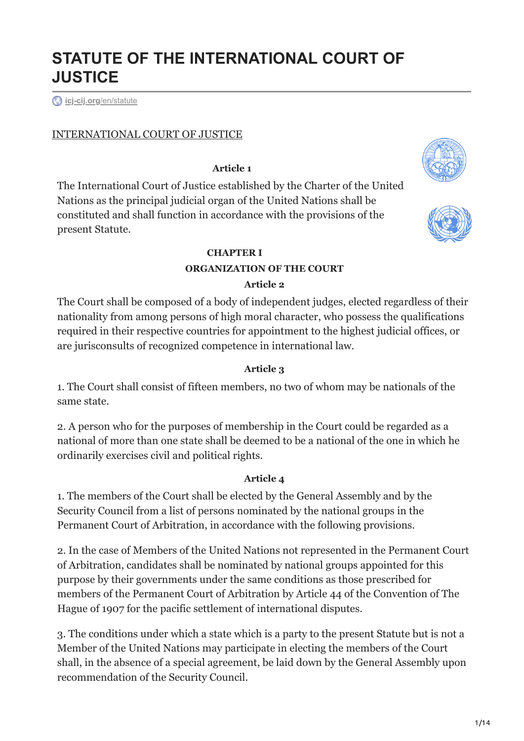# **STATUTE OF THE INTERNATIONAL COURT OF JUSTICE**

**icj-cij.org**[/en/statute](https://www.icj-cij.org/en/statute)

# [INTERNATIONAL COURT OF JUSTICE](https://www.icj-cij.org/en)

#### **Article 1**

The International Court of Justice established by the Charter of the United Nations as the principal judicial organ of the United Nations shall be constituted and shall function in accordance with the provisions of the present Statute.

#### **CHAPTER I**

#### **ORGANIZATION OF THE COURT**

#### **Article 2**

The Court shall be composed of a body of independent judges, elected regardless of their nationality from among persons of high moral character, who possess the qualifications required in their respective countries for appointment to the highest judicial offices, or are jurisconsults of recognized competence in international law.

#### **Article 3**

1. The Court shall consist of fifteen members, no two of whom may be nationals of the same state.

2. A person who for the purposes of membership in the Court could be regarded as a national of more than one state shall be deemed to be a national of the one in which he ordinarily exercises civil and political rights.

#### **Article 4**

1. The members of the Court shall be elected by the General Assembly and by the Security Council from a list of persons nominated by the national groups in the Permanent Court of Arbitration, in accordance with the following provisions.

2. In the case of Members of the United Nations not represented in the Permanent Court of Arbitration, candidates shall be nominated by national groups appointed for this purpose by their governments under the same conditions as those prescribed for members of the Permanent Court of Arbitration by Article 44 of the Convention of The Hague of 1907 for the pacific settlement of international disputes.

3. The conditions under which a state which is a party to the present Statute but is not a Member of the United Nations may participate in electing the members of the Court shall, in the absence of a special agreement, be laid down by the General Assembly upon recommendation of the Security Council.



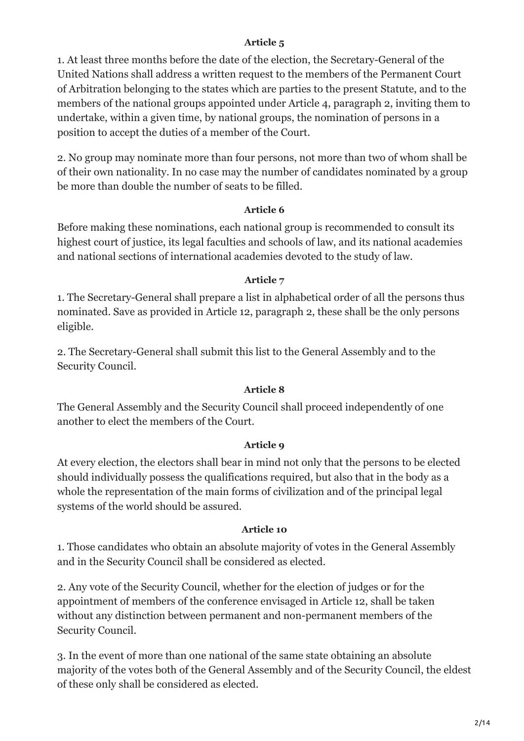1. At least three months before the date of the election, the Secretary-General of the United Nations shall address a written request to the members of the Permanent Court of Arbitration belonging to the states which are parties to the present Statute, and to the members of the national groups appointed under Article 4, paragraph 2, inviting them to undertake, within a given time, by national groups, the nomination of persons in a position to accept the duties of a member of the Court.

2. No group may nominate more than four persons, not more than two of whom shall be of their own nationality. In no case may the number of candidates nominated by a group be more than double the number of seats to be filled.

#### **Article 6**

Before making these nominations, each national group is recommended to consult its highest court of justice, its legal faculties and schools of law, and its national academies and national sections of international academies devoted to the study of law.

#### **Article 7**

1. The Secretary-General shall prepare a list in alphabetical order of all the persons thus nominated. Save as provided in Article 12, paragraph 2, these shall be the only persons eligible.

2. The Secretary-General shall submit this list to the General Assembly and to the Security Council.

# **Article 8**

The General Assembly and the Security Council shall proceed independently of one another to elect the members of the Court.

# **Article 9**

At every election, the electors shall bear in mind not only that the persons to be elected should individually possess the qualifications required, but also that in the body as a whole the representation of the main forms of civilization and of the principal legal systems of the world should be assured.

# **Article 10**

1. Those candidates who obtain an absolute majority of votes in the General Assembly and in the Security Council shall be considered as elected.

2. Any vote of the Security Council, whether for the election of judges or for the appointment of members of the conference envisaged in Article 12, shall be taken without any distinction between permanent and non-permanent members of the Security Council.

3. In the event of more than one national of the same state obtaining an absolute majority of the votes both of the General Assembly and of the Security Council, the eldest of these only shall be considered as elected.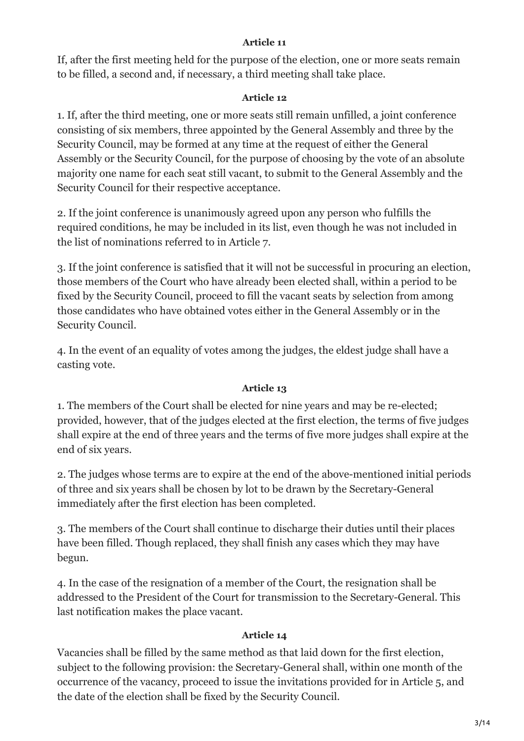If, after the first meeting held for the purpose of the election, one or more seats remain to be filled, a second and, if necessary, a third meeting shall take place.

#### **Article 12**

1. If, after the third meeting, one or more seats still remain unfilled, a joint conference consisting of six members, three appointed by the General Assembly and three by the Security Council, may be formed at any time at the request of either the General Assembly or the Security Council, for the purpose of choosing by the vote of an absolute majority one name for each seat still vacant, to submit to the General Assembly and the Security Council for their respective acceptance.

2. If the joint conference is unanimously agreed upon any person who fulfills the required conditions, he may be included in its list, even though he was not included in the list of nominations referred to in Article 7.

3. If the joint conference is satisfied that it will not be successful in procuring an election, those members of the Court who have already been elected shall, within a period to be fixed by the Security Council, proceed to fill the vacant seats by selection from among those candidates who have obtained votes either in the General Assembly or in the Security Council.

4. In the event of an equality of votes among the judges, the eldest judge shall have a casting vote.

#### **Article 13**

1. The members of the Court shall be elected for nine years and may be re-elected; provided, however, that of the judges elected at the first election, the terms of five judges shall expire at the end of three years and the terms of five more judges shall expire at the end of six years.

2. The judges whose terms are to expire at the end of the above-mentioned initial periods of three and six years shall be chosen by lot to be drawn by the Secretary-General immediately after the first election has been completed.

3. The members of the Court shall continue to discharge their duties until their places have been filled. Though replaced, they shall finish any cases which they may have begun.

4. In the case of the resignation of a member of the Court, the resignation shall be addressed to the President of the Court for transmission to the Secretary-General. This last notification makes the place vacant.

#### **Article 14**

Vacancies shall be filled by the same method as that laid down for the first election, subject to the following provision: the Secretary-General shall, within one month of the occurrence of the vacancy, proceed to issue the invitations provided for in Article 5, and the date of the election shall be fixed by the Security Council.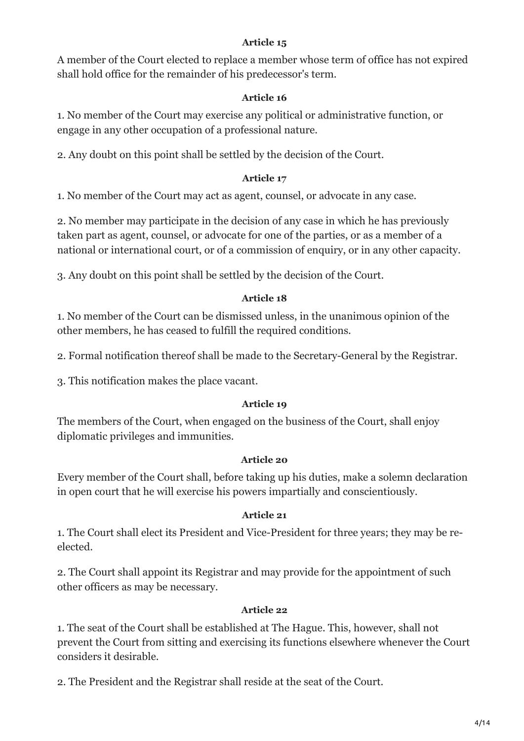A member of the Court elected to replace a member whose term of office has not expired shall hold office for the remainder of his predecessor's term.

#### **Article 16**

1. No member of the Court may exercise any political or administrative function, or engage in any other occupation of a professional nature.

2. Any doubt on this point shall be settled by the decision of the Court.

#### **Article 17**

1. No member of the Court may act as agent, counsel, or advocate in any case.

2. No member may participate in the decision of any case in which he has previously taken part as agent, counsel, or advocate for one of the parties, or as a member of a national or international court, or of a commission of enquiry, or in any other capacity.

3. Any doubt on this point shall be settled by the decision of the Court.

#### **Article 18**

1. No member of the Court can be dismissed unless, in the unanimous opinion of the other members, he has ceased to fulfill the required conditions.

2. Formal notification thereof shall be made to the Secretary-General by the Registrar.

3. This notification makes the place vacant.

#### **Article 19**

The members of the Court, when engaged on the business of the Court, shall enjoy diplomatic privileges and immunities.

#### **Article 20**

Every member of the Court shall, before taking up his duties, make a solemn declaration in open court that he will exercise his powers impartially and conscientiously.

#### **Article 21**

1. The Court shall elect its President and Vice-President for three years; they may be reelected.

2. The Court shall appoint its Registrar and may provide for the appointment of such other officers as may be necessary.

#### **Article 22**

1. The seat of the Court shall be established at The Hague. This, however, shall not prevent the Court from sitting and exercising its functions elsewhere whenever the Court considers it desirable.

2. The President and the Registrar shall reside at the seat of the Court.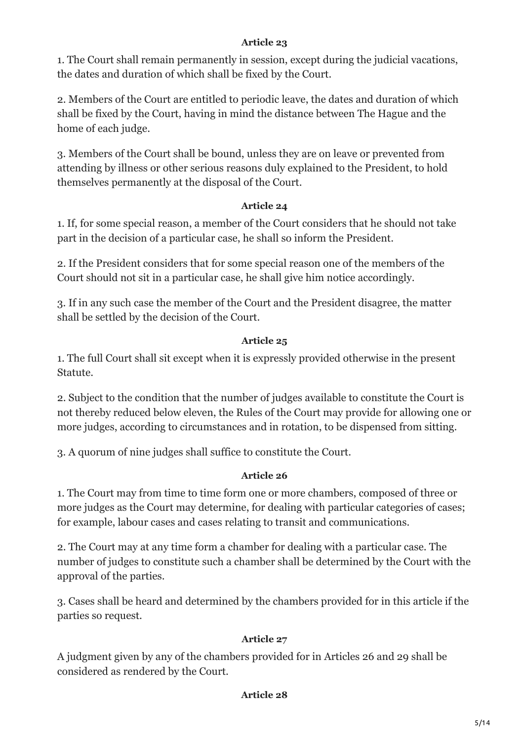1. The Court shall remain permanently in session, except during the judicial vacations, the dates and duration of which shall be fixed by the Court.

2. Members of the Court are entitled to periodic leave, the dates and duration of which shall be fixed by the Court, having in mind the distance between The Hague and the home of each judge.

3. Members of the Court shall be bound, unless they are on leave or prevented from attending by illness or other serious reasons duly explained to the President, to hold themselves permanently at the disposal of the Court.

#### **Article 24**

1. If, for some special reason, a member of the Court considers that he should not take part in the decision of a particular case, he shall so inform the President.

2. If the President considers that for some special reason one of the members of the Court should not sit in a particular case, he shall give him notice accordingly.

3. If in any such case the member of the Court and the President disagree, the matter shall be settled by the decision of the Court.

#### **Article 25**

1. The full Court shall sit except when it is expressly provided otherwise in the present Statute.

2. Subject to the condition that the number of judges available to constitute the Court is not thereby reduced below eleven, the Rules of the Court may provide for allowing one or more judges, according to circumstances and in rotation, to be dispensed from sitting.

3. A quorum of nine judges shall suffice to constitute the Court.

# **Article 26**

1. The Court may from time to time form one or more chambers, composed of three or more judges as the Court may determine, for dealing with particular categories of cases; for example, labour cases and cases relating to transit and communications.

2. The Court may at any time form a chamber for dealing with a particular case. The number of judges to constitute such a chamber shall be determined by the Court with the approval of the parties.

3. Cases shall be heard and determined by the chambers provided for in this article if the parties so request.

#### **Article 27**

A judgment given by any of the chambers provided for in Articles 26 and 29 shall be considered as rendered by the Court.

#### **Article 28**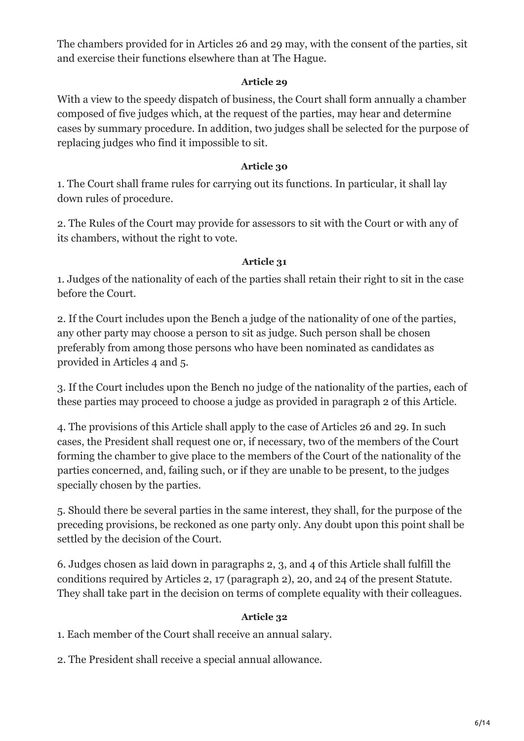The chambers provided for in Articles 26 and 29 may, with the consent of the parties, sit and exercise their functions elsewhere than at The Hague.

# **Article 29**

With a view to the speedy dispatch of business, the Court shall form annually a chamber composed of five judges which, at the request of the parties, may hear and determine cases by summary procedure. In addition, two judges shall be selected for the purpose of replacing judges who find it impossible to sit.

# **Article 30**

1. The Court shall frame rules for carrying out its functions. In particular, it shall lay down rules of procedure.

2. The Rules of the Court may provide for assessors to sit with the Court or with any of its chambers, without the right to vote.

# **Article 31**

1. Judges of the nationality of each of the parties shall retain their right to sit in the case before the Court.

2. If the Court includes upon the Bench a judge of the nationality of one of the parties, any other party may choose a person to sit as judge. Such person shall be chosen preferably from among those persons who have been nominated as candidates as provided in Articles 4 and 5.

3. If the Court includes upon the Bench no judge of the nationality of the parties, each of these parties may proceed to choose a judge as provided in paragraph 2 of this Article.

4. The provisions of this Article shall apply to the case of Articles 26 and 29. In such cases, the President shall request one or, if necessary, two of the members of the Court forming the chamber to give place to the members of the Court of the nationality of the parties concerned, and, failing such, or if they are unable to be present, to the judges specially chosen by the parties.

5. Should there be several parties in the same interest, they shall, for the purpose of the preceding provisions, be reckoned as one party only. Any doubt upon this point shall be settled by the decision of the Court.

6. Judges chosen as laid down in paragraphs 2, 3, and 4 of this Article shall fulfill the conditions required by Articles 2, 17 (paragraph 2), 20, and 24 of the present Statute. They shall take part in the decision on terms of complete equality with their colleagues.

# **Article 32**

1. Each member of the Court shall receive an annual salary.

2. The President shall receive a special annual allowance.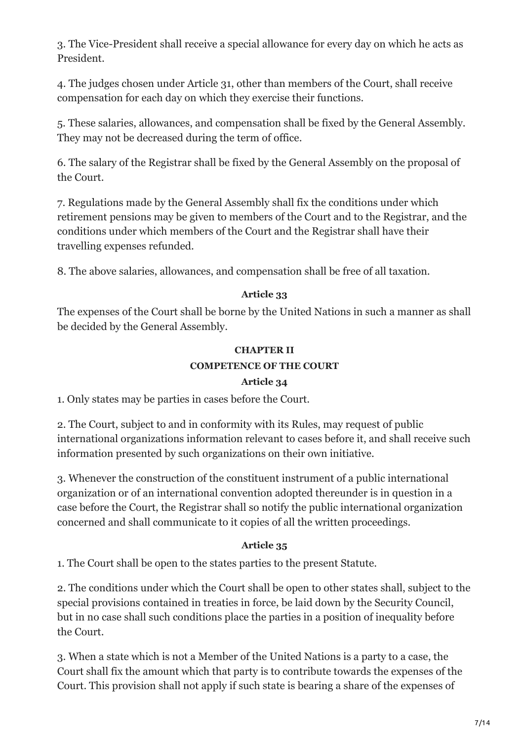3. The Vice-President shall receive a special allowance for every day on which he acts as President.

4. The judges chosen under Article 31, other than members of the Court, shall receive compensation for each day on which they exercise their functions.

5. These salaries, allowances, and compensation shall be fixed by the General Assembly. They may not be decreased during the term of office.

6. The salary of the Registrar shall be fixed by the General Assembly on the proposal of the Court.

7. Regulations made by the General Assembly shall fix the conditions under which retirement pensions may be given to members of the Court and to the Registrar, and the conditions under which members of the Court and the Registrar shall have their travelling expenses refunded.

8. The above salaries, allowances, and compensation shall be free of all taxation.

# **Article 33**

The expenses of the Court shall be borne by the United Nations in such a manner as shall be decided by the General Assembly.

# **CHAPTER II**

# **COMPETENCE OF THE COURT**

# **Article 34**

1. Only states may be parties in cases before the Court.

2. The Court, subject to and in conformity with its Rules, may request of public international organizations information relevant to cases before it, and shall receive such information presented by such organizations on their own initiative.

3. Whenever the construction of the constituent instrument of a public international organization or of an international convention adopted thereunder is in question in a case before the Court, the Registrar shall so notify the public international organization concerned and shall communicate to it copies of all the written proceedings.

# **Article 35**

1. The Court shall be open to the states parties to the present Statute.

2. The conditions under which the Court shall be open to other states shall, subject to the special provisions contained in treaties in force, be laid down by the Security Council, but in no case shall such conditions place the parties in a position of inequality before the Court.

3. When a state which is not a Member of the United Nations is a party to a case, the Court shall fix the amount which that party is to contribute towards the expenses of the Court. This provision shall not apply if such state is bearing a share of the expenses of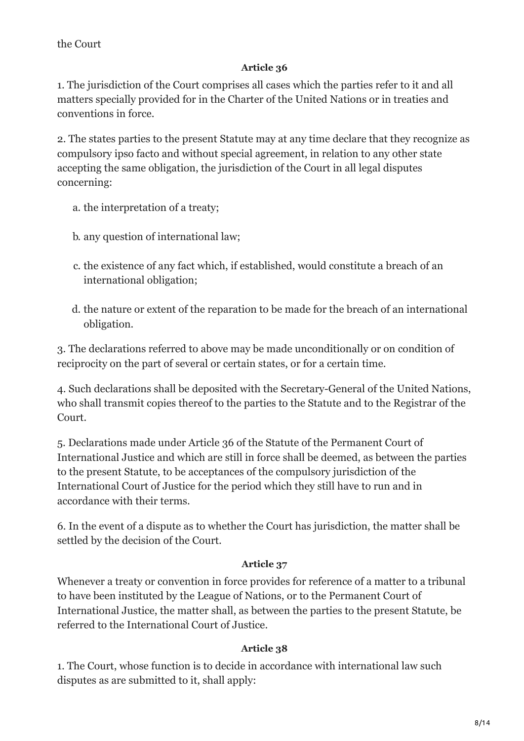1. The jurisdiction of the Court comprises all cases which the parties refer to it and all matters specially provided for in the Charter of the United Nations or in treaties and conventions in force.

2. The states parties to the present Statute may at any time declare that they recognize as compulsory ipso facto and without special agreement, in relation to any other state accepting the same obligation, the jurisdiction of the Court in all legal disputes concerning:

a. the interpretation of a treaty;

b. any question of international law;

- c. the existence of any fact which, if established, would constitute a breach of an international obligation;
- d. the nature or extent of the reparation to be made for the breach of an international obligation.

3. The declarations referred to above may be made unconditionally or on condition of reciprocity on the part of several or certain states, or for a certain time.

4. Such declarations shall be deposited with the Secretary-General of the United Nations, who shall transmit copies thereof to the parties to the Statute and to the Registrar of the Court.

5. Declarations made under Article 36 of the Statute of the Permanent Court of International Justice and which are still in force shall be deemed, as between the parties to the present Statute, to be acceptances of the compulsory jurisdiction of the International Court of Justice for the period which they still have to run and in accordance with their terms.

6. In the event of a dispute as to whether the Court has jurisdiction, the matter shall be settled by the decision of the Court.

# **Article 37**

Whenever a treaty or convention in force provides for reference of a matter to a tribunal to have been instituted by the League of Nations, or to the Permanent Court of International Justice, the matter shall, as between the parties to the present Statute, be referred to the International Court of Justice.

# **Article 38**

1. The Court, whose function is to decide in accordance with international law such disputes as are submitted to it, shall apply: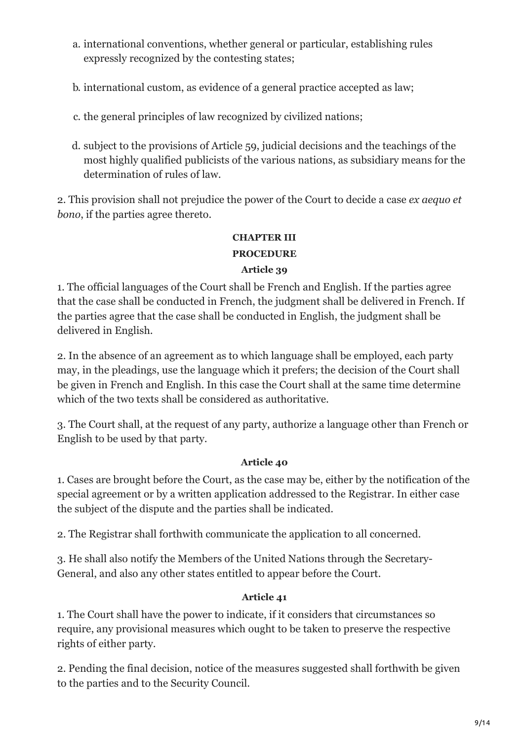- a. international conventions, whether general or particular, establishing rules expressly recognized by the contesting states;
- b. international custom, as evidence of a general practice accepted as law;
- c. the general principles of law recognized by civilized nations;
- d. subject to the provisions of Article 59, judicial decisions and the teachings of the most highly qualified publicists of the various nations, as subsidiary means for the determination of rules of law.

2. This provision shall not prejudice the power of the Court to decide a case *ex aequo et bono*, if the parties agree thereto.

# **CHAPTER III**

# **PROCEDURE**

# **Article 39**

1. The official languages of the Court shall be French and English. If the parties agree that the case shall be conducted in French, the judgment shall be delivered in French. If the parties agree that the case shall be conducted in English, the judgment shall be delivered in English.

2. In the absence of an agreement as to which language shall be employed, each party may, in the pleadings, use the language which it prefers; the decision of the Court shall be given in French and English. In this case the Court shall at the same time determine which of the two texts shall be considered as authoritative.

3. The Court shall, at the request of any party, authorize a language other than French or English to be used by that party.

# **Article 40**

1. Cases are brought before the Court, as the case may be, either by the notification of the special agreement or by a written application addressed to the Registrar. In either case the subject of the dispute and the parties shall be indicated.

2. The Registrar shall forthwith communicate the application to all concerned.

3. He shall also notify the Members of the United Nations through the Secretary-General, and also any other states entitled to appear before the Court.

# **Article 41**

1. The Court shall have the power to indicate, if it considers that circumstances so require, any provisional measures which ought to be taken to preserve the respective rights of either party.

2. Pending the final decision, notice of the measures suggested shall forthwith be given to the parties and to the Security Council.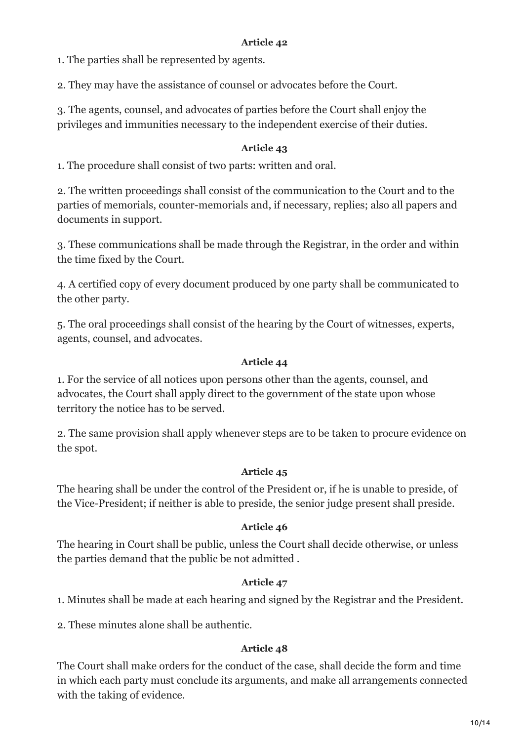1. The parties shall be represented by agents.

2. They may have the assistance of counsel or advocates before the Court.

3. The agents, counsel, and advocates of parties before the Court shall enjoy the privileges and immunities necessary to the independent exercise of their duties.

# **Article 43**

1. The procedure shall consist of two parts: written and oral.

2. The written proceedings shall consist of the communication to the Court and to the parties of memorials, counter-memorials and, if necessary, replies; also all papers and documents in support.

3. These communications shall be made through the Registrar, in the order and within the time fixed by the Court.

4. A certified copy of every document produced by one party shall be communicated to the other party.

5. The oral proceedings shall consist of the hearing by the Court of witnesses, experts, agents, counsel, and advocates.

#### **Article 44**

1. For the service of all notices upon persons other than the agents, counsel, and advocates, the Court shall apply direct to the government of the state upon whose territory the notice has to be served.

2. The same provision shall apply whenever steps are to be taken to procure evidence on the spot.

# **Article 45**

The hearing shall be under the control of the President or, if he is unable to preside, of the Vice-President; if neither is able to preside, the senior judge present shall preside.

# **Article 46**

The hearing in Court shall be public, unless the Court shall decide otherwise, or unless the parties demand that the public be not admitted .

# **Article 47**

1. Minutes shall be made at each hearing and signed by the Registrar and the President.

2. These minutes alone shall be authentic.

# **Article 48**

The Court shall make orders for the conduct of the case, shall decide the form and time in which each party must conclude its arguments, and make all arrangements connected with the taking of evidence.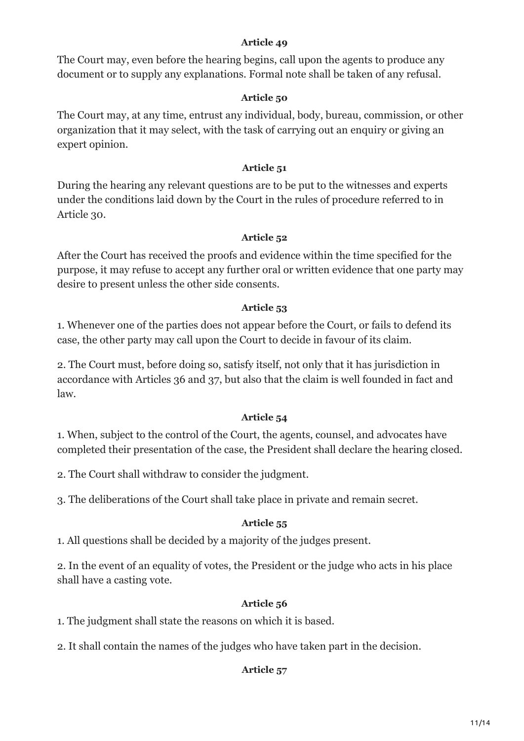The Court may, even before the hearing begins, call upon the agents to produce any document or to supply any explanations. Formal note shall be taken of any refusal.

# **Article 50**

The Court may, at any time, entrust any individual, body, bureau, commission, or other organization that it may select, with the task of carrying out an enquiry or giving an expert opinion.

#### **Article 51**

During the hearing any relevant questions are to be put to the witnesses and experts under the conditions laid down by the Court in the rules of procedure referred to in Article 30.

#### **Article 52**

After the Court has received the proofs and evidence within the time specified for the purpose, it may refuse to accept any further oral or written evidence that one party may desire to present unless the other side consents.

#### **Article 53**

1. Whenever one of the parties does not appear before the Court, or fails to defend its case, the other party may call upon the Court to decide in favour of its claim.

2. The Court must, before doing so, satisfy itself, not only that it has jurisdiction in accordance with Articles 36 and 37, but also that the claim is well founded in fact and law.

#### **Article 54**

1. When, subject to the control of the Court, the agents, counsel, and advocates have completed their presentation of the case, the President shall declare the hearing closed.

2. The Court shall withdraw to consider the judgment.

3. The deliberations of the Court shall take place in private and remain secret.

#### **Article 55**

1. All questions shall be decided by a majority of the judges present.

2. In the event of an equality of votes, the President or the judge who acts in his place shall have a casting vote.

#### **Article 56**

1. The judgment shall state the reasons on which it is based.

2. It shall contain the names of the judges who have taken part in the decision.

# **Article 57**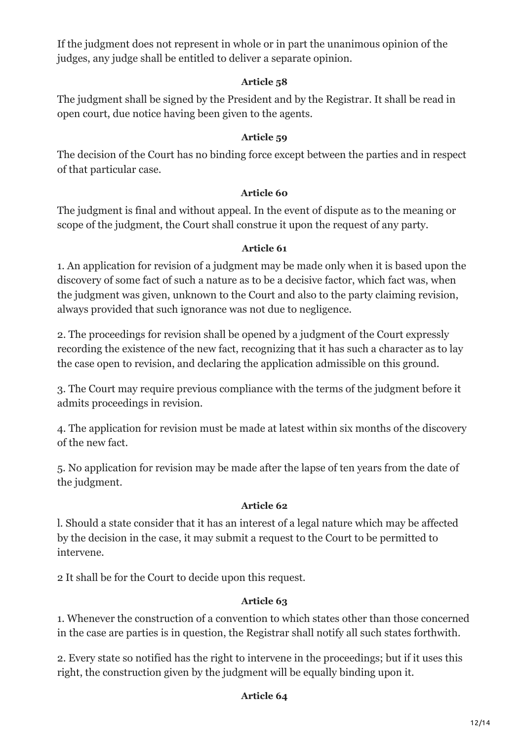If the judgment does not represent in whole or in part the unanimous opinion of the judges, any judge shall be entitled to deliver a separate opinion.

# **Article 58**

The judgment shall be signed by the President and by the Registrar. It shall be read in open court, due notice having been given to the agents.

# **Article 59**

The decision of the Court has no binding force except between the parties and in respect of that particular case.

# **Article 60**

The judgment is final and without appeal. In the event of dispute as to the meaning or scope of the judgment, the Court shall construe it upon the request of any party.

# **Article 61**

1. An application for revision of a judgment may be made only when it is based upon the discovery of some fact of such a nature as to be a decisive factor, which fact was, when the judgment was given, unknown to the Court and also to the party claiming revision, always provided that such ignorance was not due to negligence.

2. The proceedings for revision shall be opened by a judgment of the Court expressly recording the existence of the new fact, recognizing that it has such a character as to lay the case open to revision, and declaring the application admissible on this ground.

3. The Court may require previous compliance with the terms of the judgment before it admits proceedings in revision.

4. The application for revision must be made at latest within six months of the discovery of the new fact.

5. No application for revision may be made after the lapse of ten years from the date of the judgment.

# **Article 62**

l. Should a state consider that it has an interest of a legal nature which may be affected by the decision in the case, it may submit a request to the Court to be permitted to intervene.

2 It shall be for the Court to decide upon this request.

# **Article 63**

1. Whenever the construction of a convention to which states other than those concerned in the case are parties is in question, the Registrar shall notify all such states forthwith.

2. Every state so notified has the right to intervene in the proceedings; but if it uses this right, the construction given by the judgment will be equally binding upon it.

# **Article 64**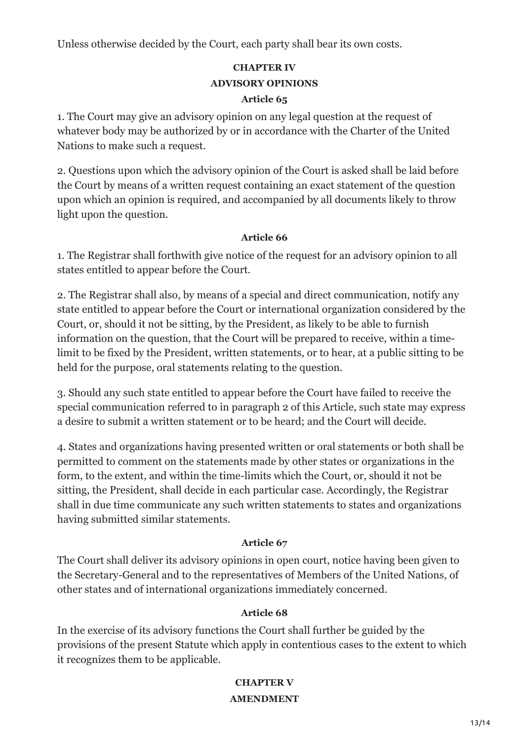Unless otherwise decided by the Court, each party shall bear its own costs.

# **CHAPTER IV ADVISORY OPINIONS**

#### **Article 65**

1. The Court may give an advisory opinion on any legal question at the request of whatever body may be authorized by or in accordance with the Charter of the United Nations to make such a request.

2. Questions upon which the advisory opinion of the Court is asked shall be laid before the Court by means of a written request containing an exact statement of the question upon which an opinion is required, and accompanied by all documents likely to throw light upon the question.

#### **Article 66**

1. The Registrar shall forthwith give notice of the request for an advisory opinion to all states entitled to appear before the Court.

2. The Registrar shall also, by means of a special and direct communication, notify any state entitled to appear before the Court or international organization considered by the Court, or, should it not be sitting, by the President, as likely to be able to furnish information on the question, that the Court will be prepared to receive, within a timelimit to be fixed by the President, written statements, or to hear, at a public sitting to be held for the purpose, oral statements relating to the question.

3. Should any such state entitled to appear before the Court have failed to receive the special communication referred to in paragraph 2 of this Article, such state may express a desire to submit a written statement or to be heard; and the Court will decide.

4. States and organizations having presented written or oral statements or both shall be permitted to comment on the statements made by other states or organizations in the form, to the extent, and within the time-limits which the Court, or, should it not be sitting, the President, shall decide in each particular case. Accordingly, the Registrar shall in due time communicate any such written statements to states and organizations having submitted similar statements.

#### **Article 67**

The Court shall deliver its advisory opinions in open court, notice having been given to the Secretary-General and to the representatives of Members of the United Nations, of other states and of international organizations immediately concerned.

#### **Article 68**

In the exercise of its advisory functions the Court shall further be guided by the provisions of the present Statute which apply in contentious cases to the extent to which it recognizes them to be applicable.

# **CHAPTER V AMENDMENT**